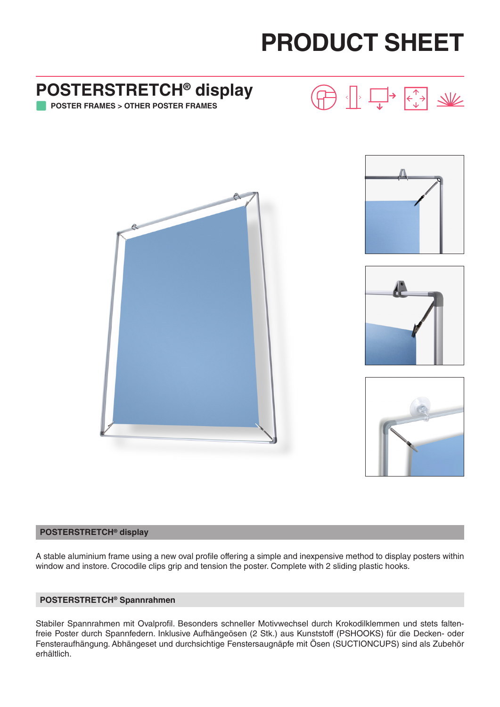# **PRODUCT SHEET**

# **POSTERSTRETCH® display POSTER FRAMES > OTHER POSTER FRAMES**A

#### **POSTERSTRETCH® display**

A stable aluminium frame using a new oval profile offering a simple and inexpensive method to display posters within window and instore. Crocodile clips grip and tension the poster. Complete with 2 sliding plastic hooks.

#### **POSTERSTRETCH® Spannrahmen**

Stabiler Spannrahmen mit Ovalprofil. Besonders schneller Motivwechsel durch Krokodilklemmen und stets faltenfreie Poster durch Spannfedern. Inklusive Aufhängeösen (2 Stk.) aus Kunststoff (PSHOOKS) für die Decken- oder Fensteraufhängung. Abhängeset und durchsichtige Fenstersaugnäpfe mit Ösen (SUCTIONCUPS) sind als Zubehör erhältlich.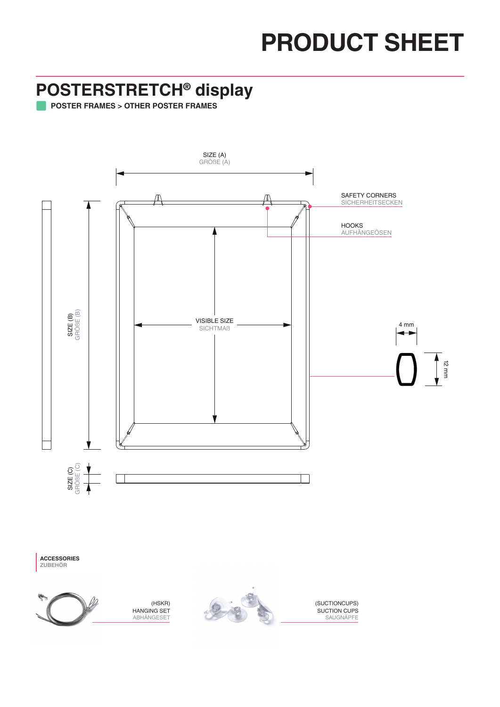# **PRODUCT SHEET**

### **POSTERSTRETCH® display**

**POSTER FRAMES > OTHER POSTER FRAMES**



**ACCESSORIES ZUBEHÖR**



(HSKR) HANGING SET **ABHÄNGESET** 



(SUCTIONCUPS) SUCTION CUPS **SAUGNÄPFE**